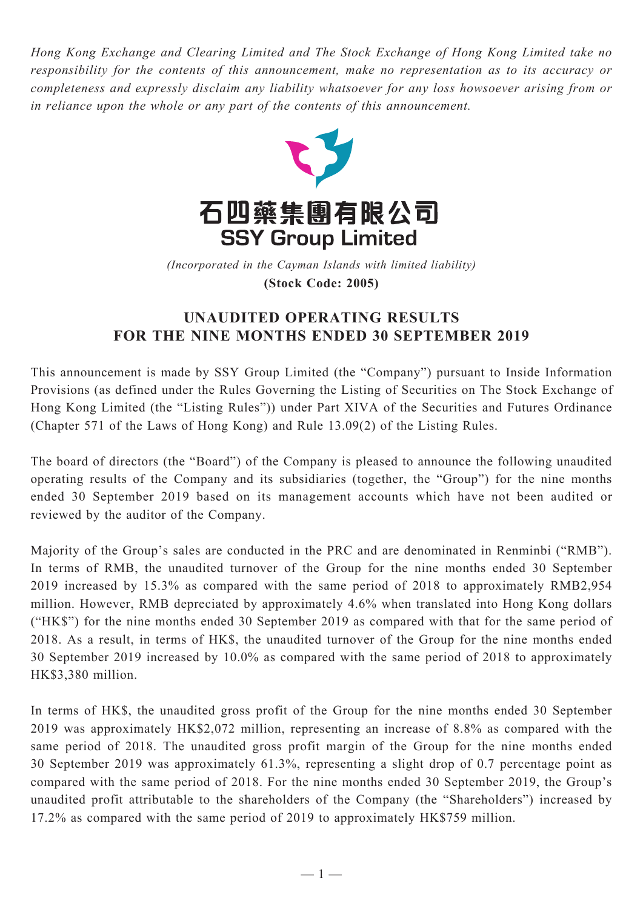*Hong Kong Exchange and Clearing Limited and The Stock Exchange of Hong Kong Limited take no responsibility for the contents of this announcement, make no representation as to its accuracy or completeness and expressly disclaim any liability whatsoever for any loss howsoever arising from or in reliance upon the whole or any part of the contents of this announcement.*



(Incorporated in the Cayman Islands with limited liability) **(Stock Code: 2005)** *(Incorporated in the Cayman Islands with limited liability)* **(Stock Code: 2005)**

## **UNAUDITED OPERATING RESULTS FOR THE NINE MONTHS ENDED 30 SEPTEMBER 2019**

This announcement is made by SSY Group Limited (the "Company") pursuant to Inside Information Provisions (as defined under the Rules Governing the Listing of Securities on The Stock Exchange of Hong Kong Limited (the "Listing Rules")) under Part XIVA of the Securities and Futures Ordinance (Chapter 571 of the Laws of Hong Kong) and Rule 13.09(2) of the Listing Rules.

The board of directors (the "Board") of the Company is pleased to announce the following unaudited operating results of the Company and its subsidiaries (together, the "Group") for the nine months ended 30 September 2019 based on its management accounts which have not been audited or reviewed by the auditor of the Company.

Majority of the Group's sales are conducted in the PRC and are denominated in Renminbi ("RMB"). In terms of RMB, the unaudited turnover of the Group for the nine months ended 30 September 2019 increased by 15.3% as compared with the same period of 2018 to approximately RMB2,954 million. However, RMB depreciated by approximately 4.6% when translated into Hong Kong dollars ("HK\$") for the nine months ended 30 September 2019 as compared with that for the same period of 2018. As a result, in terms of HK\$, the unaudited turnover of the Group for the nine months ended 30 September 2019 increased by 10.0% as compared with the same period of 2018 to approximately HK\$3,380 million.

In terms of HK\$, the unaudited gross profit of the Group for the nine months ended 30 September 2019 was approximately HK\$2,072 million, representing an increase of 8.8% as compared with the same period of 2018. The unaudited gross profit margin of the Group for the nine months ended 30 September 2019 was approximately 61.3%, representing a slight drop of 0.7 percentage point as compared with the same period of 2018. For the nine months ended 30 September 2019, the Group's unaudited profit attributable to the shareholders of the Company (the "Shareholders") increased by 17.2% as compared with the same period of 2019 to approximately HK\$759 million.